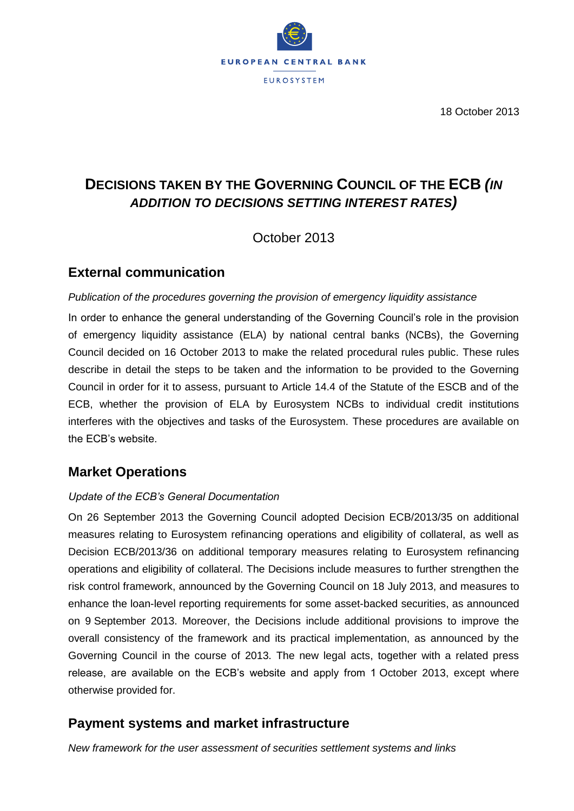

18 October 2013

# **DECISIONS TAKEN BY THE GOVERNING COUNCIL OF THE ECB** *(IN ADDITION TO DECISIONS SETTING INTEREST RATES)*

October 2013

### **External communication**

### *Publication of the procedures governing the provision of emergency liquidity assistance*

In order to enhance the general understanding of the Governing Council's role in the provision of emergency liquidity assistance (ELA) by national central banks (NCBs), the Governing Council decided on 16 October 2013 to make the related procedural rules public. These rules describe in detail the steps to be taken and the information to be provided to the Governing Council in order for it to assess, pursuant to Article 14.4 of the Statute of the ESCB and of the ECB, whether the provision of ELA by Eurosystem NCBs to individual credit institutions interferes with the objectives and tasks of the Eurosystem. These procedures are available on the ECB's website.

### **Market Operations**

### *Update of the ECB's General Documentation*

On 26 September 2013 the Governing Council adopted Decision ECB/2013/35 on additional measures relating to Eurosystem refinancing operations and eligibility of collateral, as well as Decision ECB/2013/36 on additional temporary measures relating to Eurosystem refinancing operations and eligibility of collateral. The Decisions include measures to further strengthen the risk control framework, announced by the Governing Council on 18 July 2013, and measures to enhance the loan-level reporting requirements for some asset-backed securities, as announced on 9 September 2013. Moreover, the Decisions include additional provisions to improve the overall consistency of the framework and its practical implementation, as announced by the Governing Council in the course of 2013. The new legal acts, together with a related press release, are available on the ECB's website and apply from 1 October 2013, except where otherwise provided for.

### **Payment systems and market infrastructure**

*New framework for the user assessment of securities settlement systems and links*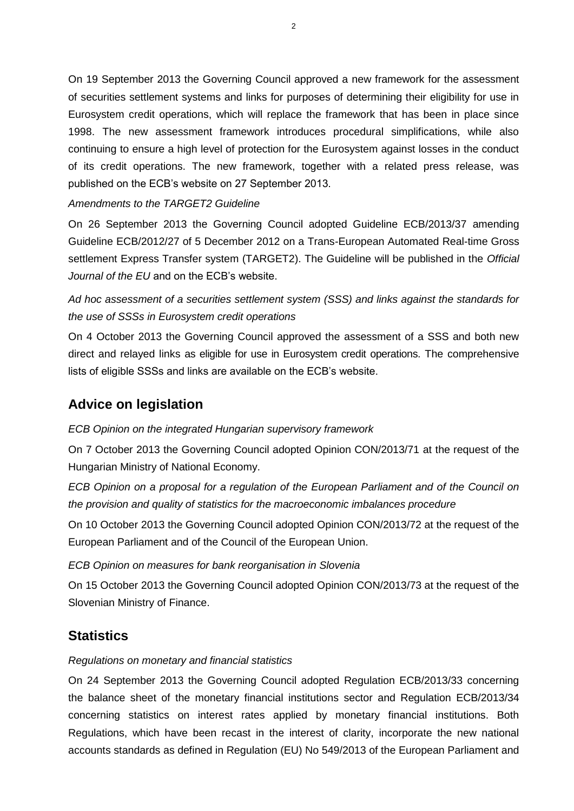On 19 September 2013 the Governing Council approved a new framework for the assessment of securities settlement systems and links for purposes of determining their eligibility for use in Eurosystem credit operations, which will replace the framework that has been in place since 1998. The new assessment framework introduces procedural simplifications, while also continuing to ensure a high level of protection for the Eurosystem against losses in the conduct of its credit operations. The new framework, together with a related press release, was published on the ECB's website on 27 September 2013.

#### *Amendments to the TARGET2 Guideline*

On 26 September 2013 the Governing Council adopted Guideline ECB/2013/37 amending Guideline ECB/2012/27 of 5 December 2012 on a Trans-European Automated Real-time Gross settlement Express Transfer system (TARGET2). The Guideline will be published in the *Official Journal of the EU* and on the ECB's website.

*Ad hoc assessment of a securities settlement system (SSS) and links against the standards for the use of SSSs in Eurosystem credit operations*

On 4 October 2013 the Governing Council approved the assessment of a SSS and both new direct and relayed links as eligible for use in Eurosystem credit operations. The comprehensive lists of eligible SSSs and links are available on the ECB's website.

# **Advice on legislation**

*ECB Opinion on the integrated Hungarian supervisory framework*

On 7 October 2013 the Governing Council adopted Opinion CON/2013/71 at the request of the Hungarian Ministry of National Economy.

*ECB Opinion on a proposal for a regulation of the European Parliament and of the Council on the provision and quality of statistics for the macroeconomic imbalances procedure*

On 10 October 2013 the Governing Council adopted Opinion CON/2013/72 at the request of the European Parliament and of the Council of the European Union.

*ECB Opinion on measures for bank reorganisation in Slovenia*

On 15 October 2013 the Governing Council adopted Opinion CON/2013/73 at the request of the Slovenian Ministry of Finance.

## **Statistics**

### *Regulations on monetary and financial statistics*

On 24 September 2013 the Governing Council adopted Regulation ECB/2013/33 concerning the balance sheet of the monetary financial institutions sector and Regulation ECB/2013/34 concerning statistics on interest rates applied by monetary financial institutions. Both Regulations, which have been recast in the interest of clarity, incorporate the new national accounts standards as defined in Regulation (EU) No 549/2013 of the European Parliament and